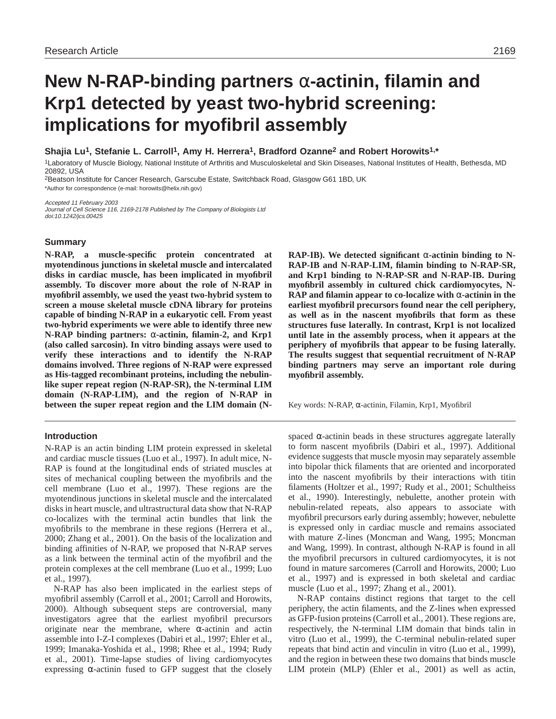# **New N-RAP-binding partners** α**-actinin, filamin and Krp1 detected by yeast two-hybrid screening: implications for myofibril assembly**

**Shajia Lu1, Stefanie L. Carroll1, Amy H. Herrera1, Bradford Ozanne2 and Robert Horowits1,\***

1Laboratory of Muscle Biology, National Institute of Arthritis and Musculoskeletal and Skin Diseases, National Institutes of Health, Bethesda, MD 20892, USA

<sup>2</sup>Beatson Institute for Cancer Research, Garscube Estate, Switchback Road, Glasgow G61 1BD, UK

\*Author for correspondence (e-mail: horowits@helix.nih.gov)

Accepted 11 February 2003 Journal of Cell Science 116, 2169-2178 Published by The Company of Biologists Ltd doi:10.1242/jcs.00425

# **Summary**

**N-RAP, a muscle-specific protein concentrated at myotendinous junctions in skeletal muscle and intercalated disks in cardiac muscle, has been implicated in myofibril assembly. To discover more about the role of N-RAP in myofibril assembly, we used the yeast two-hybrid system to screen a mouse skeletal muscle cDNA library for proteins capable of binding N-RAP in a eukaryotic cell. From yeast two-hybrid experiments we were able to identify three new N-RAP binding partners:** α**-actinin, filamin-2, and Krp1 (also called sarcosin). In vitro binding assays were used to verify these interactions and to identify the N-RAP domains involved. Three regions of N-RAP were expressed as His-tagged recombinant proteins, including the nebulinlike super repeat region (N-RAP-SR), the N-terminal LIM domain (N-RAP-LIM), and the region of N-RAP in between the super repeat region and the LIM domain (N-**

# **Introduction**

N-RAP is an actin binding LIM protein expressed in skeletal and cardiac muscle tissues (Luo et al., 1997). In adult mice, N-RAP is found at the longitudinal ends of striated muscles at sites of mechanical coupling between the myofibrils and the cell membrane (Luo et al., 1997). These regions are the myotendinous junctions in skeletal muscle and the intercalated disks in heart muscle, and ultrastructural data show that N-RAP co-localizes with the terminal actin bundles that link the myofibrils to the membrane in these regions (Herrera et al., 2000; Zhang et al., 2001). On the basis of the localization and binding affinities of N-RAP, we proposed that N-RAP serves as a link between the terminal actin of the myofibril and the protein complexes at the cell membrane (Luo et al., 1999; Luo et al., 1997).

N-RAP has also been implicated in the earliest steps of myofibril assembly (Carroll et al., 2001; Carroll and Horowits, 2000). Although subsequent steps are controversial, many investigators agree that the earliest myofibril precursors originate near the membrane, where  $\alpha$ -actinin and actin assemble into I-Z-I complexes (Dabiri et al., 1997; Ehler et al., 1999; Imanaka-Yoshida et al., 1998; Rhee et al., 1994; Rudy et al., 2001). Time-lapse studies of living cardiomyocytes expressing  $\alpha$ -actinin fused to GFP suggest that the closely

**RAP-IB). We detected significant** α**-actinin binding to N-RAP-IB and N-RAP-LIM, filamin binding to N-RAP-SR, and Krp1 binding to N-RAP-SR and N-RAP-IB. During myofibril assembly in cultured chick cardiomyocytes, N-RAP and filamin appear to co-localize with** α**-actinin in the earliest myofibril precursors found near the cell periphery, as well as in the nascent myofibrils that form as these structures fuse laterally. In contrast, Krp1 is not localized until late in the assembly process, when it appears at the periphery of myofibrils that appear to be fusing laterally. The results suggest that sequential recruitment of N-RAP binding partners may serve an important role during myofibril assembly.**

Key words: N-RAP, α-actinin, Filamin, Krp1, Myofibril

spaced  $\alpha$ -actinin beads in these structures aggregate laterally to form nascent myofibrils (Dabiri et al., 1997). Additional evidence suggests that muscle myosin may separately assemble into bipolar thick filaments that are oriented and incorporated into the nascent myofibrils by their interactions with titin filaments (Holtzer et al., 1997; Rudy et al., 2001; Schultheiss et al., 1990). Interestingly, nebulette, another protein with nebulin-related repeats, also appears to associate with myofibril precursors early during assembly; however, nebulette is expressed only in cardiac muscle and remains associated with mature Z-lines (Moncman and Wang, 1995; Moncman and Wang, 1999). In contrast, although N-RAP is found in all the myofibril precursors in cultured cardiomyocytes, it is not found in mature sarcomeres (Carroll and Horowits, 2000; Luo et al., 1997) and is expressed in both skeletal and cardiac muscle (Luo et al., 1997; Zhang et al., 2001).

N-RAP contains distinct regions that target to the cell periphery, the actin filaments, and the Z-lines when expressed as GFP-fusion proteins (Carroll et al., 2001). These regions are, respectively, the N-terminal LIM domain that binds talin in vitro (Luo et al., 1999), the C-terminal nebulin-related super repeats that bind actin and vinculin in vitro (Luo et al., 1999), and the region in between these two domains that binds muscle LIM protein (MLP) (Ehler et al., 2001) as well as actin,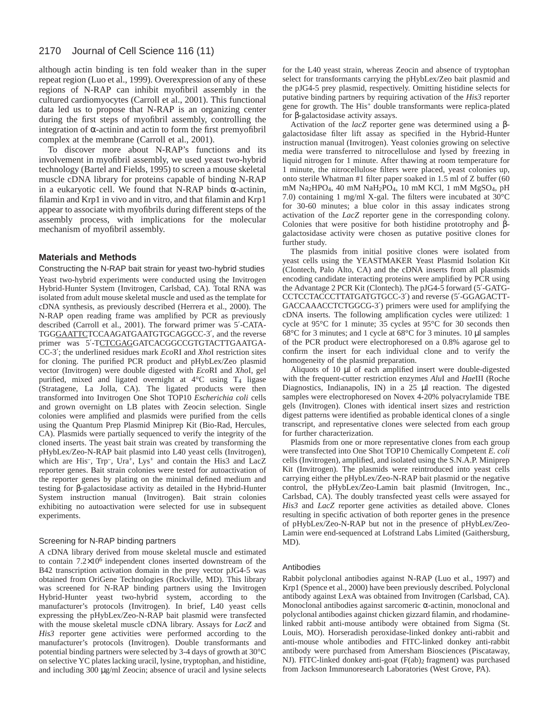# 2170 Journal of Cell Science 116 (11)

although actin binding is ten fold weaker than in the super repeat region (Luo et al., 1999). Overexpression of any of these regions of N-RAP can inhibit myofibril assembly in the cultured cardiomyocytes (Carroll et al., 2001). This functional data led us to propose that N-RAP is an organizing center during the first steps of myofibril assembly, controlling the integration of α-actinin and actin to form the first premyofibril complex at the membrane (Carroll et al., 2001).

To discover more about N-RAP's functions and its involvement in myofibril assembly, we used yeast two-hybrid technology (Bartel and Fields, 1995) to screen a mouse skeletal muscle cDNA library for proteins capable of binding N-RAP in a eukaryotic cell. We found that N-RAP binds α-actinin, filamin and Krp1 in vivo and in vitro, and that filamin and Krp1 appear to associate with myofibrils during different steps of the assembly process, with implications for the molecular mechanism of myofibril assembly.

# **Materials and Methods**

## Constructing the N-RAP bait strain for yeast two-hybrid studies

Yeast two-hybrid experiments were conducted using the Invitrogen Hybrid-Hunter System (Invitrogen, Carlsbad, CA). Total RNA was isolated from adult mouse skeletal muscle and used as the template for cDNA synthesis, as previously described (Herrera et al., 2000). The N-RAP open reading frame was amplified by PCR as previously described (Carroll et al., 2001). The forward primer was 5′-CATA-TGGGAATTCTCCAAGATGAATGTGCAGGCC-3′, and the reverse primer was 5'-TCTCGAGGATCACGGCCGTGTACTTGAATGA-CC-3′; the underlined residues mark *Eco*RI and *Xho*I restriction sites for cloning. The purified PCR product and pHybLex/Zeo plasmid vector (Invitrogen) were double digested with *Eco*RI and *Xho*I, gel purified, mixed and ligated overnight at 4°C using T4 ligase (Stratagene, La Jolla, CA). The ligated products were then transformed into Invitrogen One Shot TOP10 *Escherichia coli* cells and grown overnight on LB plates with Zeocin selection. Single colonies were amplified and plasmids were purified from the cells using the Quantum Prep Plasmid Miniprep Kit (Bio-Rad, Hercules, CA). Plasmids were partially sequenced to verify the integrity of the cloned inserts. The yeast bait strain was created by transforming the pHybLex/Zeo-N-RAP bait plasmid into L40 yeast cells (Invitrogen), which are His<sup>-</sup>, Trp<sup>-</sup>, Ura<sup>+</sup>, Lys<sup>+</sup> and contain the His3 and LacZ reporter genes. Bait strain colonies were tested for autoactivation of the reporter genes by plating on the minimal defined medium and testing for β-galactosidase activity as detailed in the Hybrid-Hunter System instruction manual (Invitrogen). Bait strain colonies exhibiting no autoactivation were selected for use in subsequent experiments.

#### Screening for N-RAP binding partners

A cDNA library derived from mouse skeletal muscle and estimated to contain 7.2×106 independent clones inserted downstream of the B42 transcription activation domain in the prey vector pJG4-5 was obtained from OriGene Technologies (Rockville, MD). This library was screened for N-RAP binding partners using the Invitrogen Hybrid-Hunter yeast two-hybrid system, according to the manufacturer's protocols (Invitrogen). In brief, L40 yeast cells expressing the pHybLex/Zeo-N-RAP bait plasmid were transfected with the mouse skeletal muscle cDNA library. Assays for *LacZ* and *His3* reporter gene activities were performed according to the manufacturer's protocols (Invitrogen). Double transformants and potential binding partners were selected by 3-4 days of growth at 30°C on selective YC plates lacking uracil, lysine, tryptophan, and histidine, and including 300 µg/ml Zeocin; absence of uracil and lysine selects for the L40 yeast strain, whereas Zeocin and absence of tryptophan select for transformants carrying the pHybLex/Zeo bait plasmid and the pJG4-5 prey plasmid, respectively. Omitting histidine selects for putative binding partners by requiring activation of the *His3* reporter gene for growth. The His<sup>+</sup> double transformants were replica-plated for β-galactosidase activity assays.

Activation of the *lacZ* reporter gene was determined using a βgalactosidase filter lift assay as specified in the Hybrid-Hunter instruction manual (Invitrogen). Yeast colonies growing on selective media were transferred to nitrocellulose and lysed by freezing in liquid nitrogen for 1 minute. After thawing at room temperature for 1 minute, the nitrocellulose filters were placed, yeast colonies up, onto sterile Whatman #1 filter paper soaked in 1.5 ml of Z buffer (60 mM Na2HPO4, 40 mM NaH2PO4, 10 mM KCl, 1 mM MgSO4, pH 7.0) containing 1 mg/ml X-gal. The filters were incubated at 30°C for 30-60 minutes; a blue color in this assay indicates strong activation of the *LacZ* reporter gene in the corresponding colony. Colonies that were positive for both histidine prototrophy and βgalactosidase activity were chosen as putative positive clones for further study.

The plasmids from initial positive clones were isolated from yeast cells using the YEASTMAKER Yeast Plasmid Isolation Kit (Clontech, Palo Alto, CA) and the cDNA inserts from all plasmids encoding candidate interacting proteins were amplified by PCR using the Advantage 2 PCR Kit (Clontech). The pJG4-5 forward (5′-GATG-CCTCCTACCCTTATGATGTGCC-3′) and reverse (5′-GGAGACTT-GACCAAACCTCTGGCG-3′) primers were used for amplifying the cDNA inserts. The following amplification cycles were utilized: 1 cycle at 95°C for 1 minute; 35 cycles at 95°C for 30 seconds then 68°C for 3 minutes; and 1 cycle at 68°C for 3 minutes. 10 µl samples of the PCR product were electrophoresed on a 0.8% agarose gel to confirm the insert for each individual clone and to verify the homogeneity of the plasmid preparation.

Aliquots of 10 µl of each amplified insert were double-digested with the frequent-cutter restriction enzymes *Alu*I and *Hae*III (Roche Diagnostics, Indianapolis, IN) in a 25 µl reaction. The digested samples were electrophoresed on Novex 4-20% polyacrylamide TBE gels (Invitrogen). Clones with identical insert sizes and restriction digest patterns were identified as probable identical clones of a single transcript, and representative clones were selected from each group for further characterization.

Plasmids from one or more representative clones from each group were transfected into One Shot TOP10 Chemically Competent *E. coli* cells (Invitrogen), amplified, and isolated using the S.N.A.P. Miniprep Kit (Invitrogen). The plasmids were reintroduced into yeast cells carrying either the pHybLex/Zeo-N-RAP bait plasmid or the negative control, the pHybLex/Zeo-Lamin bait plasmid (Invitrogen, Inc., Carlsbad, CA). The doubly transfected yeast cells were assayed for *His3* and *LacZ* reporter gene activities as detailed above. Clones resulting in specific activation of both reporter genes in the presence of pHybLex/Zeo-N-RAP but not in the presence of pHybLex/Zeo-Lamin were end-sequenced at Lofstrand Labs Limited (Gaithersburg, MD).

#### **Antibodies**

Rabbit polyclonal antibodies against N-RAP (Luo et al., 1997) and Krp1 (Spence et al., 2000) have been previously described. Polyclonal antibody against LexA was obtained from Invitrogen (Carlsbad, CA). Monoclonal antibodies against sarcomeric  $\alpha$ -actinin, monoclonal and polyclonal antibodies against chicken gizzard filamin, and rhodaminelinked rabbit anti-mouse antibody were obtained from Sigma (St. Louis, MO). Horseradish peroxidase-linked donkey anti-rabbit and anti-mouse whole antibodies and FITC-linked donkey anti-rabbit antibody were purchased from Amersham Biosciences (Piscataway, NJ). FITC-linked donkey anti-goat (F(ab)2 fragment) was purchased from Jackson Immunoresearch Laboratories (West Grove, PA).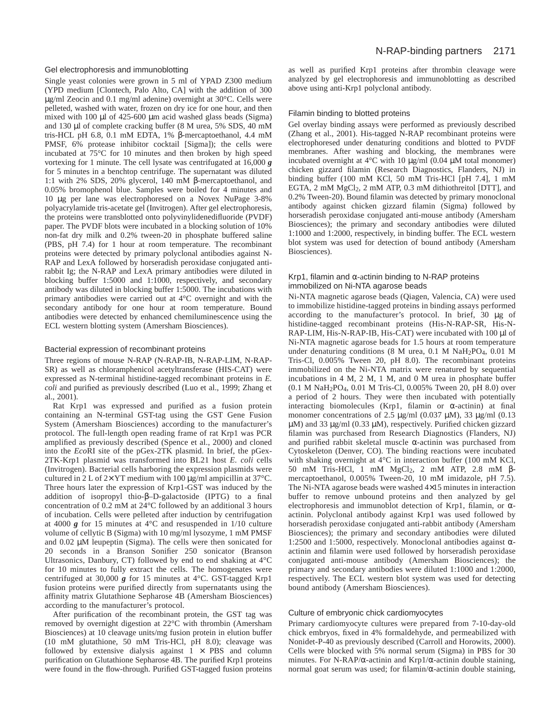#### Gel electrophoresis and immunoblotting

Single yeast colonies were grown in 5 ml of YPAD Z300 medium (YPD medium [Clontech, Palo Alto, CA] with the addition of 300 µg/ml Zeocin and 0.1 mg/ml adenine) overnight at 30°C. Cells were pelleted, washed with water, frozen on dry ice for one hour, and then mixed with 100 µl of 425-600 µm acid washed glass beads (Sigma) and 130 µl of complete cracking buffer (8 M urea, 5% SDS, 40 mM tris-HCL pH 6.8, 0.1 mM EDTA, 1% β-mercaptoethanol, 4.4 mM PMSF, 6% protease inhibitor cocktail [Sigma]); the cells were incubated at 75°C for 10 minutes and then broken by high speed vortexing for 1 minute. The cell lysate was centrifugated at 16,000 *g* for 5 minutes in a benchtop centrifuge. The supernatant was diluted 1:1 with 2% SDS, 20% glycerol, 140 mM β-mercaptoethanol, and 0.05% bromophenol blue. Samples were boiled for 4 minutes and 10 µg per lane was electrophoresed on a Novex NuPage 3-8% polyacrylamide tris-acetate gel (Invitrogen). After gel electrophoresis, the proteins were transblotted onto polyvinylidenedifluoride (PVDF) paper. The PVDF blots were incubated in a blocking solution of 10% non-fat dry milk and 0.2% tween-20 in phosphate buffered saline (PBS, pH 7.4) for 1 hour at room temperature. The recombinant proteins were detected by primary polyclonal antibodies against N-RAP and LexA followed by horseradish peroxidase conjugated antirabbit Ig; the N-RAP and LexA primary antibodies were diluted in blocking buffer 1:5000 and 1:1000, respectively, and secondary antibody was diluted in blocking buffer 1:5000. The incubations with primary antibodies were carried out at 4°C overnight and with the secondary antibody for one hour at room temperature. Bound antibodies were detected by enhanced chemiluminescence using the ECL western blotting system (Amersham Biosciences).

#### Bacterial expression of recombinant proteins

Three regions of mouse N-RAP (N-RAP-IB, N-RAP-LIM, N-RAP-SR) as well as chloramphenicol acetyltransferase (HIS-CAT) were expressed as N-terminal histidine-tagged recombinant proteins in *E. coli* and purified as previously described (Luo et al., 1999; Zhang et al., 2001).

Rat Krp1 was expressed and purified as a fusion protein containing an N-terminal GST-tag using the GST Gene Fusion System (Amersham Biosciences) according to the manufacturer's protocol. The full-length open reading frame of rat Krp1 was PCR amplified as previously described (Spence et al., 2000) and cloned into the *Eco*RI site of the pGex-2TK plasmid. In brief, the pGex-2TK-Krp1 plasmid was transformed into BL21 host *E. coli* cells (Invitrogen). Bacterial cells harboring the expression plasmids were cultured in 2 L of  $2 \times \text{YT}$  medium with 100  $\mu$ g/ml ampicillin at 37°C. Three hours later the expression of Krp1-GST was induced by the addition of isopropyl thio-β–D-galactoside (IPTG) to a final concentration of 0.2 mM at 24°C followed by an additional 3 hours of incubation. Cells were pelleted after induction by centrifugation at 4000 *g* for 15 minutes at 4°C and resuspended in 1/10 culture volume of cellytic B (Sigma) with 10 mg/ml lysozyme, 1 mM PMSF and 0.02 µM leupeptin (Sigma). The cells were then sonicated for 20 seconds in a Branson Sonifier 250 sonicator (Branson Ultrasonics, Danbury, CT) followed by end to end shaking at 4°C for 10 minutes to fully extract the cells. The homogenates were centrifuged at 30,000 *g* for 15 minutes at 4°C. GST-tagged Krp1 fusion proteins were purified directly from supernatants using the affinity matrix Glutathione Sepharose 4B (Amersham Biosciences) according to the manufacturer's protocol.

After purification of the recombinant protein, the GST tag was removed by overnight digestion at 22°C with thrombin (Amersham Biosciences) at 10 cleavage units/mg fusion protein in elution buffer (10 mM glutathione, 50 mM Tris-HCl, pH 8.0); cleavage was followed by extensive dialysis against  $1 \times PBS$  and column purification on Glutathione Sepharose 4B. The purified Krp1 proteins were found in the flow-through. Purified GST-tagged fusion proteins as well as purified Krp1 proteins after thrombin cleavage were analyzed by gel electrophoresis and immunoblotting as described above using anti-Krp1 polyclonal antibody.

## Filamin binding to blotted proteins

Gel overlay binding assays were performed as previously described (Zhang et al., 2001). His-tagged N-RAP recombinant proteins were electrophoresed under denaturing conditions and blotted to PVDF membranes. After washing and blocking, the membranes were incubated overnight at  $4^{\circ}$ C with 10  $\mu$ g/ml (0.04  $\mu$ M total monomer) chicken gizzard filamin (Research Diagnostics, Flanders, NJ) in binding buffer (100 mM KCl, 50 mM Tris-HCl [pH 7.4], 1 mM EGTA, 2 mM MgCl2, 2 mM ATP, 0.3 mM dithiothreitol [DTT], and 0.2% Tween-20). Bound filamin was detected by primary monoclonal antibody against chicken gizzard filamin (Sigma) followed by horseradish peroxidase conjugated anti-mouse antibody (Amersham Biosciences); the primary and secondary antibodies were diluted 1:1000 and 1:2000, respectively, in binding buffer. The ECL western blot system was used for detection of bound antibody (Amersham Biosciences).

#### Krp1, filamin and  $\alpha$ -actinin binding to N-RAP proteins immobilized on Ni-NTA agarose beads

Ni-NTA magnetic agarose beads (Qiagen, Valencia, CA) were used to immobilize histidine-tagged proteins in binding assays performed according to the manufacturer's protocol. In brief, 30 µg of histidine-tagged recombinant proteins (His-N-RAP-SR, His-N-RAP-LIM, His-N-RAP-IB, His-CAT) were incubated with 100 µl of Ni-NTA magnetic agarose beads for 1.5 hours at room temperature under denaturing conditions (8 M urea, 0.1 M NaH2PO4, 0.01 M Tris-Cl, 0.005% Tween 20, pH 8.0). The recombinant proteins immobilized on the Ni-NTA matrix were renatured by sequential incubations in 4 M, 2 M, 1 M, and 0 M urea in phosphate buffer (0.1 M NaH2PO4, 0.01 M Tris-Cl, 0.005% Tween 20, pH 8.0) over a period of 2 hours. They were then incubated with potentially interacting biomolecules (Krp1, filamin or  $\alpha$ -actinin) at final monomer concentrations of 2.5  $\mu$ g/ml (0.037  $\mu$ M), 33  $\mu$ g/ml (0.13 µM) and 33 µg/ml (0.33 µM), respectively. Purified chicken gizzard filamin was purchased from Research Diagnostics (Flanders, NJ) and purified rabbit skeletal muscle  $\alpha$ -actinin was purchased from Cytoskeleton (Denver, CO). The binding reactions were incubated with shaking overnight at 4°C in interaction buffer (100 mM KCl, 50 mM Tris-HCl, 1 mM MgCl2, 2 mM ATP, 2.8 mM βmercaptoethanol, 0.005% Tween-20, 10 mM imidazole, pH 7.5). The Ni-NTA agarose beads were washed 4×15 minutes in interaction buffer to remove unbound proteins and then analyzed by gel electrophoresis and immunoblot detection of Krp1, filamin, or  $\alpha$ actinin. Polyclonal antibody against Krp1 was used followed by horseradish peroxidase conjugated anti-rabbit antibody (Amersham Biosciences); the primary and secondary antibodies were diluted 1:2500 and 1:5000, respectively. Monoclonal antibodies against  $\alpha$ actinin and filamin were used followed by horseradish peroxidase conjugated anti-mouse antibody (Amersham Biosciences); the primary and secondary antibodies were diluted 1:1000 and 1:2000, respectively. The ECL western blot system was used for detecting bound antibody (Amersham Biosciences).

#### Culture of embryonic chick cardiomyocytes

Primary cardiomyocyte cultures were prepared from 7-10-day-old chick embryos, fixed in 4% formaldehyde, and permeabilized with Nonidet-P-40 as previously described (Carroll and Horowits, 2000). Cells were blocked with 5% normal serum (Sigma) in PBS for 30 minutes. For N-RAP/ $\alpha$ -actinin and Krp1/ $\alpha$ -actinin double staining, normal goat serum was used; for filamin/α-actinin double staining,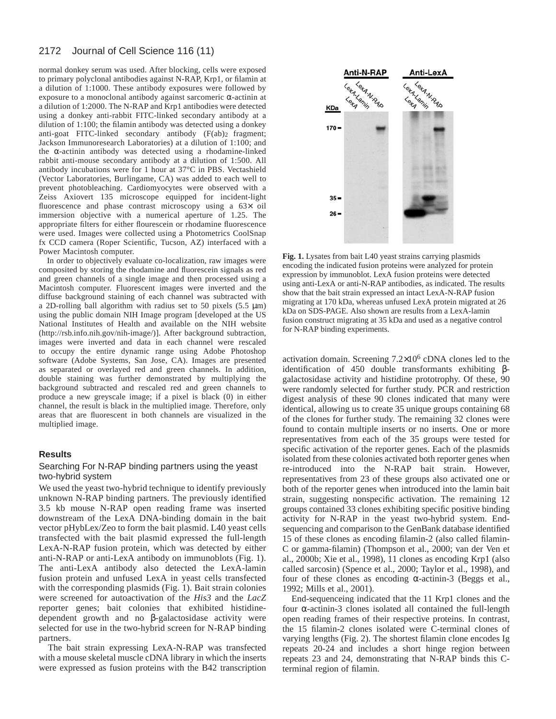#### 2172 Journal of Cell Science 116 (11)

normal donkey serum was used. After blocking, cells were exposed to primary polyclonal antibodies against N-RAP, Krp1, or filamin at a dilution of 1:1000. These antibody exposures were followed by exposure to a monoclonal antibody against sarcomeric  $\alpha$ -actinin at a dilution of 1:2000. The N-RAP and Krp1 antibodies were detected using a donkey anti-rabbit FITC-linked secondary antibody at a dilution of 1:100; the filamin antibody was detected using a donkey anti-goat FITC-linked secondary antibody (F(ab)2 fragment; Jackson Immunoresearch Laboratories) at a dilution of 1:100; and the α-actinin antibody was detected using a rhodamine-linked rabbit anti-mouse secondary antibody at a dilution of 1:500. All antibody incubations were for 1 hour at 37°C in PBS. Vectashield (Vector Laboratories, Burlingame, CA) was added to each well to prevent photobleaching. Cardiomyocytes were observed with a Zeiss Axiovert 135 microscope equipped for incident-light fluorescence and phase contrast microscopy using a 63× oil immersion objective with a numerical aperture of 1.25. The appropriate filters for either flourescein or rhodamine fluorescence were used. Images were collected using a Photometrics CoolSnap fx CCD camera (Roper Scientific, Tucson, AZ) interfaced with a Power Macintosh computer.

In order to objectively evaluate co-localization, raw images were composited by storing the rhodamine and fluorescein signals as red and green channels of a single image and then processed using a Macintosh computer. Fluorescent images were inverted and the diffuse background staining of each channel was subtracted with a 2D-rolling ball algorithm with radius set to 50 pixels  $(5.5 \mu m)$ using the public domain NIH Image program [developed at the US National Institutes of Health and available on the NIH website (http://rsb.info.nih.gov/nih-image/)]. After background subtraction, images were inverted and data in each channel were rescaled to occupy the entire dynamic range using Adobe Photoshop software (Adobe Systems, San Jose, CA). Images are presented as separated or overlayed red and green channels. In addition, double staining was further demonstrated by multiplying the background subtracted and rescaled red and green channels to produce a new greyscale image; if a pixel is black (0) in either channel, the result is black in the multiplied image. Therefore, only areas that are fluorescent in both channels are visualized in the multiplied image.

# **Results**

# Searching For N-RAP binding partners using the yeast two-hybrid system

We used the yeast two-hybrid technique to identify previously unknown N-RAP binding partners. The previously identified 3.5 kb mouse N-RAP open reading frame was inserted downstream of the LexA DNA-binding domain in the bait vector pHybLex/Zeo to form the bait plasmid. L40 yeast cells transfected with the bait plasmid expressed the full-length LexA-N-RAP fusion protein, which was detected by either anti-N-RAP or anti-LexA antibody on immunoblots (Fig. 1). The anti-LexA antibody also detected the LexA-lamin fusion protein and unfused LexA in yeast cells transfected with the corresponding plasmids (Fig. 1). Bait strain colonies were screened for autoactivation of the *His3* and the *LacZ* reporter genes; bait colonies that exhibited histidinedependent growth and no β-galactosidase activity were selected for use in the two-hybrid screen for N-RAP binding partners.

The bait strain expressing LexA-N-RAP was transfected with a mouse skeletal muscle cDNA library in which the inserts were expressed as fusion proteins with the B42 transcription



**Fig. 1.** Lysates from bait L40 yeast strains carrying plasmids encoding the indicated fusion proteins were analyzed for protein expression by immunoblot. LexA fusion proteins were detected using anti-LexA or anti-N-RAP antibodies, as indicated. The results show that the bait strain expressed an intact LexA-N-RAP fusion migrating at 170 kDa, whereas unfused LexA protein migrated at 26 kDa on SDS-PAGE. Also shown are results from a LexA-lamin fusion construct migrating at 35 kDa and used as a negative control for N-RAP binding experiments.

activation domain. Screening 7.2×10<sup>6</sup> cDNA clones led to the identification of 450 double transformants exhibiting βgalactosidase activity and histidine prototrophy. Of these, 90 were randomly selected for further study. PCR and restriction digest analysis of these 90 clones indicated that many were identical, allowing us to create 35 unique groups containing 68 of the clones for further study. The remaining 32 clones were found to contain multiple inserts or no inserts. One or more representatives from each of the 35 groups were tested for specific activation of the reporter genes. Each of the plasmids isolated from these colonies activated both reporter genes when re-introduced into the N-RAP bait strain. However, representatives from 23 of these groups also activated one or both of the reporter genes when introduced into the lamin bait strain, suggesting nonspecific activation. The remaining 12 groups contained 33 clones exhibiting specific positive binding activity for N-RAP in the yeast two-hybrid system. Endsequencing and comparison to the GenBank database identified 15 of these clones as encoding filamin-2 (also called filamin-C or gamma-filamin) (Thompson et al., 2000; van der Ven et al., 2000b; Xie et al., 1998), 11 clones as encoding Krp1 (also called sarcosin) (Spence et al., 2000; Taylor et al., 1998), and four of these clones as encoding α-actinin-3 (Beggs et al., 1992; Mills et al., 2001).

End-sequenceing indicated that the 11 Krp1 clones and the four α-actinin-3 clones isolated all contained the full-length open reading frames of their respective proteins. In contrast, the 15 filamin-2 clones isolated were C-terminal clones of varying lengths (Fig. 2). The shortest filamin clone encodes Ig repeats 20-24 and includes a short hinge region between repeats 23 and 24, demonstrating that N-RAP binds this Cterminal region of filamin.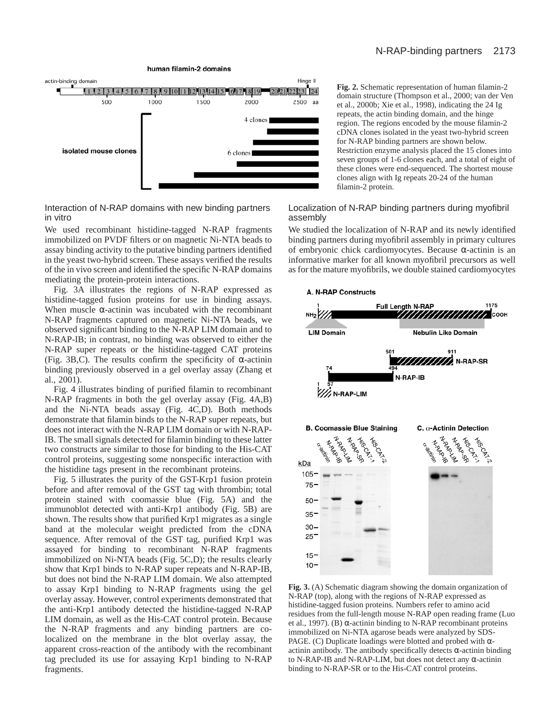

Interaction of N-RAP domains with new binding partners in vitro

We used recombinant histidine-tagged N-RAP fragments immobilized on PVDF filters or on magnetic Ni-NTA beads to assay binding activity to the putative binding partners identified in the yeast two-hybrid screen. These assays verified the results of the in vivo screen and identified the specific N-RAP domains mediating the protein-protein interactions.

Fig. 3A illustrates the regions of N-RAP expressed as histidine-tagged fusion proteins for use in binding assays. When muscle  $\alpha$ -actinin was incubated with the recombinant N-RAP fragments captured on magnetic Ni-NTA beads, we observed significant binding to the N-RAP LIM domain and to N-RAP-IB; in contrast, no binding was observed to either the N-RAP super repeats or the histidine-tagged CAT proteins (Fig. 3B,C). The results confirm the specificity of  $\alpha$ -actinin binding previously observed in a gel overlay assay (Zhang et al., 2001).

Fig. 4 illustrates binding of purified filamin to recombinant N-RAP fragments in both the gel overlay assay (Fig. 4A,B) and the Ni-NTA beads assay (Fig. 4C,D). Both methods demonstrate that filamin binds to the N-RAP super repeats, but does not interact with the N-RAP LIM domain or with N-RAP-IB. The small signals detected for filamin binding to these latter two constructs are similar to those for binding to the His-CAT control proteins, suggesting some nonspecific interaction with the histidine tags present in the recombinant proteins.

Fig. 5 illustrates the purity of the GST-Krp1 fusion protein before and after removal of the GST tag with thrombin; total protein stained with coomassie blue (Fig. 5A) and the immunoblot detected with anti-Krp1 antibody (Fig. 5B) are shown. The results show that purified Krp1 migrates as a single band at the molecular weight predicted from the cDNA sequence. After removal of the GST tag, purified Krp1 was assayed for binding to recombinant N-RAP fragments immobilized on Ni-NTA beads (Fig. 5C,D); the results clearly show that Krp1 binds to N-RAP super repeats and N-RAP-IB, but does not bind the N-RAP LIM domain. We also attempted to assay Krp1 binding to N-RAP fragments using the gel overlay assay. However, control experiments demonstrated that the anti-Krp1 antibody detected the histidine-tagged N-RAP LIM domain, as well as the His-CAT control protein. Because the N-RAP fragments and any binding partners are colocalized on the membrane in the blot overlay assay, the apparent cross-reaction of the antibody with the recombinant tag precluded its use for assaying Krp1 binding to N-RAP fragments.

**Fig. 2.** Schematic representation of human filamin-2 domain structure (Thompson et al., 2000; van der Ven et al., 2000b; Xie et al., 1998), indicating the 24 Ig repeats, the actin binding domain, and the hinge region. The regions encoded by the mouse filamin-2 cDNA clones isolated in the yeast two-hybrid screen for N-RAP binding partners are shown below. Restriction enzyme analysis placed the 15 clones into seven groups of 1-6 clones each, and a total of eight of these clones were end-sequenced. The shortest mouse clones align with Ig repeats 20-24 of the human filamin-2 protein.

# Localization of N-RAP binding partners during myofibril assembly

We studied the localization of N-RAP and its newly identified binding partners during myofibril assembly in primary cultures of embryonic chick cardiomyocytes. Because α-actinin is an informative marker for all known myofibril precursors as well as for the mature myofibrils, we double stained cardiomyocytes



**Fig. 3.** (A) Schematic diagram showing the domain organization of N-RAP (top), along with the regions of N-RAP expressed as histidine-tagged fusion proteins. Numbers refer to amino acid residues from the full-length mouse N-RAP open reading frame (Luo et al., 1997). (B)  $\alpha$ -actinin binding to N-RAP recombinant proteins immobilized on Ni-NTA agarose beads were analyzed by SDS-PAGE. (C) Duplicate loadings were blotted and probed with  $\alpha$ actinin antibody. The antibody specifically detects  $\alpha$ -actinin binding to N-RAP-IB and N-RAP-LIM, but does not detect any α-actinin binding to N-RAP-SR or to the His-CAT control proteins.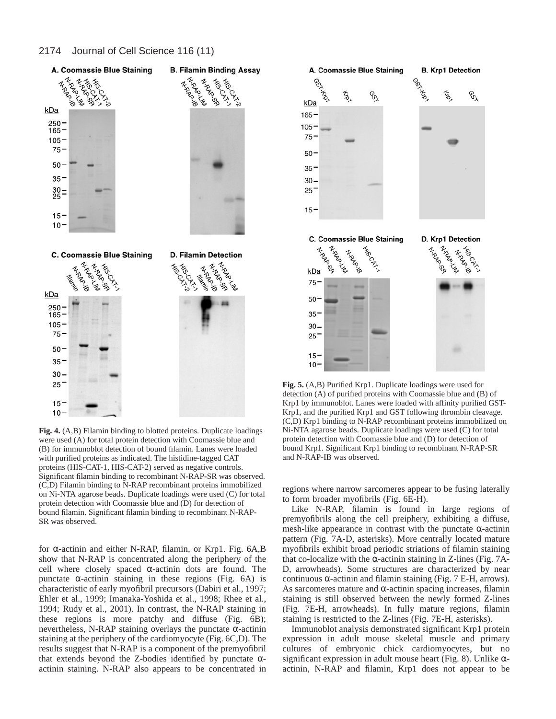

**Fig. 4.** (A,B) Filamin binding to blotted proteins. Duplicate loadings were used (A) for total protein detection with Coomassie blue and (B) for immunoblot detection of bound filamin. Lanes were loaded with purified proteins as indicated. The histidine-tagged CAT proteins (HIS-CAT-1, HIS-CAT-2) served as negative controls. Significant filamin binding to recombinant N-RAP-SR was observed. (C,D) Filamin binding to N-RAP recombinant proteins immobilized on Ni-NTA agarose beads. Duplicate loadings were used (C) for total protein detection with Coomassie blue and (D) for detection of bound filamin. Significant filamin binding to recombinant N-RAP-SR was observed.

for α-actinin and either N-RAP, filamin, or Krp1. Fig. 6A,B show that N-RAP is concentrated along the periphery of the cell where closely spaced  $\alpha$ -actinin dots are found. The punctate  $\alpha$ -actinin staining in these regions (Fig. 6A) is characteristic of early myofibril precursors (Dabiri et al., 1997; Ehler et al., 1999; Imanaka-Yoshida et al., 1998; Rhee et al., 1994; Rudy et al., 2001). In contrast, the N-RAP staining in these regions is more patchy and diffuse (Fig. 6B); nevertheless, N-RAP staining overlays the punctate α-actinin staining at the periphery of the cardiomyocyte (Fig. 6C,D). The results suggest that N-RAP is a component of the premyofibril that extends beyond the Z-bodies identified by punctate  $\alpha$ actinin staining. N-RAP also appears to be concentrated in



**Fig. 5.** (A,B) Purified Krp1. Duplicate loadings were used for detection (A) of purified proteins with Coomassie blue and (B) of Krp1 by immunoblot. Lanes were loaded with affinity purified GST-Krp1, and the purified Krp1 and GST following thrombin cleavage. (C,D) Krp1 binding to N-RAP recombinant proteins immobilized on Ni-NTA agarose beads. Duplicate loadings were used (C) for total protein detection with Coomassie blue and (D) for detection of bound Krp1. Significant Krp1 binding to recombinant N-RAP-SR and N-RAP-IB was observed.

regions where narrow sarcomeres appear to be fusing laterally to form broader myofibrils (Fig. 6E-H).

Like N-RAP, filamin is found in large regions of premyofibrils along the cell preiphery, exhibiting a diffuse, mesh-like appearance in contrast with the punctate  $\alpha$ -actinin pattern (Fig. 7A-D, asterisks). More centrally located mature myofibrils exhibit broad periodic striations of filamin staining that co-localize with the  $\alpha$ -actinin staining in Z-lines (Fig. 7A-D, arrowheads). Some structures are characterized by near continuous  $\alpha$ -actinin and filamin staining (Fig. 7 E-H, arrows). As sarcomeres mature and  $\alpha$ -actinin spacing increases, filamin staining is still observed between the newly formed Z-lines (Fig. 7E-H, arrowheads). In fully mature regions, filamin staining is restricted to the Z-lines (Fig. 7E-H, asterisks).

Immunoblot analysis demonstrated significant Krp1 protein expression in adult mouse skeletal muscle and primary cultures of embryonic chick cardiomyocytes, but no significant expression in adult mouse heart (Fig. 8). Unlike  $\alpha$ actinin, N-RAP and filamin, Krp1 does not appear to be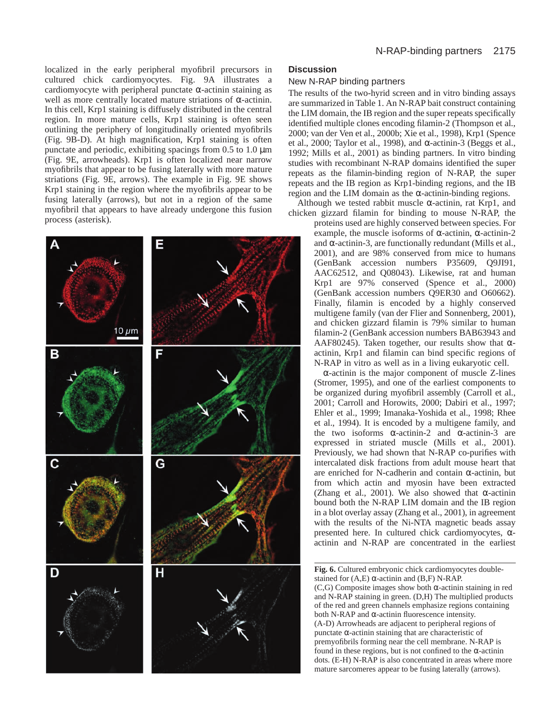localized in the early peripheral myofibril precursors in cultured chick cardiomyocytes. Fig. 9A illustrates a cardiomyocyte with peripheral punctate  $\alpha$ -actinin staining as well as more centrally located mature striations of α-actinin. In this cell, Krp1 staining is diffusely distributed in the central region. In more mature cells, Krp1 staining is often seen outlining the periphery of longitudinally oriented myofibrils (Fig. 9B-D). At high magnification, Krp1 staining is often punctate and periodic, exhibiting spacings from 0.5 to 1.0 µm (Fig. 9E, arrowheads). Krp1 is often localized near narrow myofibrils that appear to be fusing laterally with more mature striations (Fig. 9E, arrows). The example in Fig. 9E shows Krp1 staining in the region where the myofibrils appear to be fusing laterally (arrows), but not in a region of the same myofibril that appears to have already undergone this fusion process (asterisk).



## **Discussion**

#### New N-RAP binding partners

The results of the two-hyrid screen and in vitro binding assays are summarized in Table 1. An N-RAP bait construct containing the LIM domain, the IB region and the super repeats specifically identified multiple clones encoding filamin-2 (Thompson et al., 2000; van der Ven et al., 2000b; Xie et al., 1998), Krp1 (Spence et al., 2000; Taylor et al., 1998), and  $\alpha$ -actinin-3 (Beggs et al., 1992; Mills et al., 2001) as binding partners. In vitro binding studies with recombinant N-RAP domains identified the super repeats as the filamin-binding region of N-RAP, the super repeats and the IB region as Krp1-binding regions, and the IB region and the LIM domain as the α-actinin-binding regions.

Although we tested rabbit muscle  $\alpha$ -actinin, rat Krp1, and chicken gizzard filamin for binding to mouse N-RAP, the

> proteins used are highly conserved between species. For example, the muscle isoforms of  $\alpha$ -actinin,  $\alpha$ -actinin-2 and  $\alpha$ -actinin-3, are functionally redundant (Mills et al., 2001), and are 98% conserved from mice to humans (GenBank accession numbers P35609, Q9JI91, AAC62512, and Q08043). Likewise, rat and human Krp1 are 97% conserved (Spence et al., 2000) (GenBank accession numbers Q9ER30 and O60662). Finally, filamin is encoded by a highly conserved multigene family (van der Flier and Sonnenberg, 2001), and chicken gizzard filamin is 79% similar to human filamin-2 (GenBank accession numbers BAB63943 and AAF80245). Taken together, our results show that  $\alpha$ actinin, Krp1 and filamin can bind specific regions of N-RAP in vitro as well as in a living eukaryotic cell.

> α-actinin is the major component of muscle Z-lines (Stromer, 1995), and one of the earliest components to be organized during myofibril assembly (Carroll et al., 2001; Carroll and Horowits, 2000; Dabiri et al., 1997; Ehler et al., 1999; Imanaka-Yoshida et al., 1998; Rhee et al., 1994). It is encoded by a multigene family, and the two isoforms  $\alpha$ -actinin-2 and  $\alpha$ -actinin-3 are expressed in striated muscle (Mills et al., 2001). Previously, we had shown that N-RAP co-purifies with intercalated disk fractions from adult mouse heart that are enriched for N-cadherin and contain α-actinin, but from which actin and myosin have been extracted (Zhang et al., 2001). We also showed that  $\alpha$ -actinin bound both the N-RAP LIM domain and the IB region in a blot overlay assay (Zhang et al., 2001), in agreement with the results of the Ni-NTA magnetic beads assay presented here. In cultured chick cardiomyocytes, αactinin and N-RAP are concentrated in the earliest

**Fig. 6.** Cultured embryonic chick cardiomyocytes doublestained for  $(A,E)$   $\alpha$ -actinin and  $(B,F)$  N-RAP. (C,G) Composite images show both α-actinin staining in red and N-RAP staining in green. (D,H) The multiplied products of the red and green channels emphasize regions containing both N-RAP and α-actinin fluorescence intensity. (A-D) Arrowheads are adjacent to peripheral regions of punctate α-actinin staining that are characteristic of premyofibrils forming near the cell membrane. N-RAP is found in these regions, but is not confined to the  $\alpha$ -actinin dots. (E-H) N-RAP is also concentrated in areas where more mature sarcomeres appear to be fusing laterally (arrows).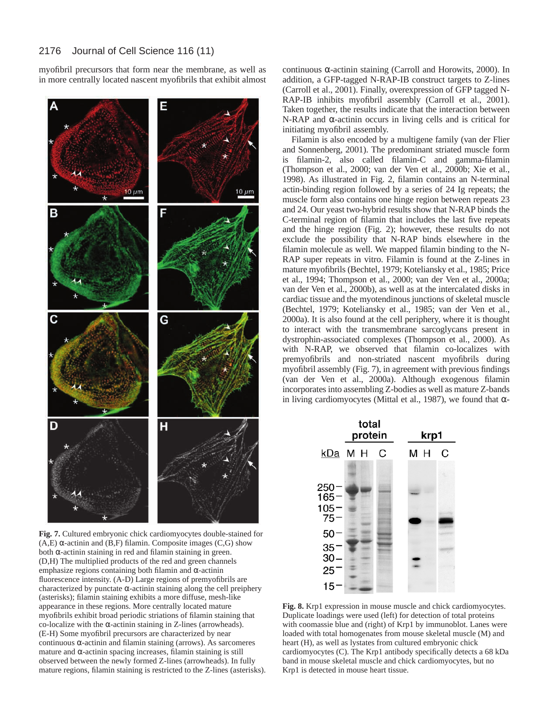myofibril precursors that form near the membrane, as well as in more centrally located nascent myofibrils that exhibit almost



**Fig. 7.** Cultured embryonic chick cardiomyocytes double-stained for (A,E)  $\alpha$ -actinin and (B,F) filamin. Composite images (C,G) show both  $\alpha$ -actinin staining in red and filamin staining in green. (D,H) The multiplied products of the red and green channels emphasize regions containing both filamin and α-actinin fluorescence intensity. (A-D) Large regions of premyofibrils are characterized by punctate  $\alpha$ -actinin staining along the cell preiphery (asterisks); filamin staining exhibits a more diffuse, mesh-like appearance in these regions. More centrally located mature myofibrils exhibit broad periodic striations of filamin staining that co-localize with the  $\alpha$ -actinin staining in Z-lines (arrowheads). (E-H) Some myofibril precursors are characterized by near continuous  $\alpha$ -actinin and filamin staining (arrows). As sarcomeres mature and α-actinin spacing increases, filamin staining is still observed between the newly formed Z-lines (arrowheads). In fully mature regions, filamin staining is restricted to the Z-lines (asterisks).

continuous α-actinin staining (Carroll and Horowits, 2000). In addition, a GFP-tagged N-RAP-IB construct targets to Z-lines (Carroll et al., 2001). Finally, overexpression of GFP tagged N-RAP-IB inhibits myofibril assembly (Carroll et al., 2001). Taken together, the results indicate that the interaction between N-RAP and α-actinin occurs in living cells and is critical for initiating myofibril assembly.

Filamin is also encoded by a multigene family (van der Flier and Sonnenberg, 2001). The predominant striated muscle form is filamin-2, also called filamin-C and gamma-filamin (Thompson et al., 2000; van der Ven et al., 2000b; Xie et al., 1998). As illustrated in Fig. 2, filamin contains an N-terminal actin-binding region followed by a series of 24 Ig repeats; the muscle form also contains one hinge region between repeats 23 and 24. Our yeast two-hybrid results show that N-RAP binds the C-terminal region of filamin that includes the last five repeats and the hinge region (Fig. 2); however, these results do not exclude the possibility that N-RAP binds elsewhere in the filamin molecule as well. We mapped filamin binding to the N-RAP super repeats in vitro. Filamin is found at the Z-lines in mature myofibrils (Bechtel, 1979; Koteliansky et al., 1985; Price et al., 1994; Thompson et al., 2000; van der Ven et al., 2000a; van der Ven et al., 2000b), as well as at the intercalated disks in cardiac tissue and the myotendinous junctions of skeletal muscle (Bechtel, 1979; Koteliansky et al., 1985; van der Ven et al., 2000a). It is also found at the cell periphery, where it is thought to interact with the transmembrane sarcoglycans present in dystrophin-associated complexes (Thompson et al., 2000). As with N-RAP, we observed that filamin co-localizes with premyofibrils and non-striated nascent myofibrils during myofibril assembly (Fig. 7), in agreement with previous findings (van der Ven et al., 2000a). Although exogenous filamin incorporates into assembling Z-bodies as well as mature Z-bands in living cardiomyocytes (Mittal et al., 1987), we found that  $\alpha$ -



**Fig. 8.** Krp1 expression in mouse muscle and chick cardiomyocytes. Duplicate loadings were used (left) for detection of total proteins with coomassie blue and (right) of Krp1 by immunoblot. Lanes were loaded with total homogenates from mouse skeletal muscle (M) and heart (H), as well as lystates from cultured embryonic chick cardiomyocytes (C). The Krp1 antibody specifically detects a 68 kDa band in mouse skeletal muscle and chick cardiomyocytes, but no Krp1 is detected in mouse heart tissue.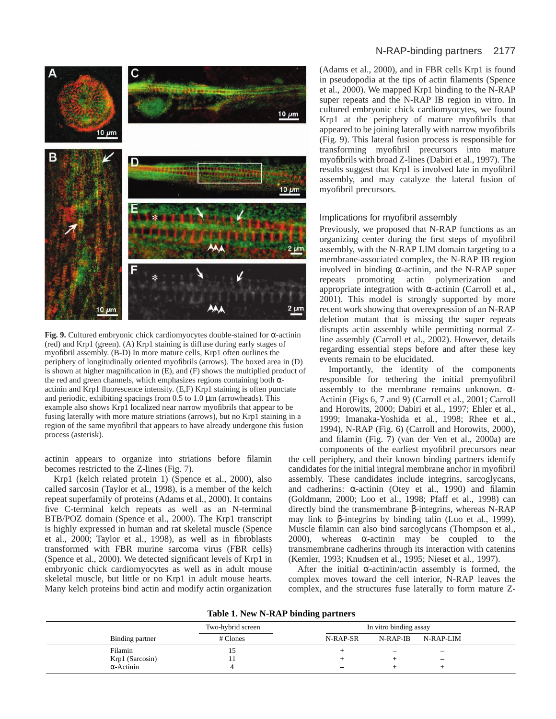

**Fig. 9.** Cultured embryonic chick cardiomyocytes double-stained for α-actinin (red) and Krp1 (green). (A) Krp1 staining is diffuse during early stages of myofibril assembly. (B-D) In more mature cells, Krp1 often outlines the periphery of longitudinally oriented myofibrils (arrows). The boxed area in (D) is shown at higher magnification in (E), and (F) shows the multiplied product of the red and green channels, which emphasizes regions containing both  $\alpha$ actinin and Krp1 fluorescence intensity. (E,F) Krp1 staining is often punctate and periodic, exhibiting spacings from 0.5 to 1.0 µm (arrowheads). This example also shows Krp1 localized near narrow myofibrils that appear to be fusing laterally with more mature striations (arrows), but no Krp1 staining in a region of the same myofibril that appears to have already undergone this fusion process (asterisk).

actinin appears to organize into striations before filamin becomes restricted to the Z-lines (Fig. 7).

Krp1 (kelch related protein 1) (Spence et al., 2000), also called sarcosin (Taylor et al., 1998), is a member of the kelch repeat superfamily of proteins (Adams et al., 2000). It contains five C-terminal kelch repeats as well as an N-terminal BTB/POZ domain (Spence et al., 2000). The Krp1 transcript is highly expressed in human and rat skeletal muscle (Spence et al., 2000; Taylor et al., 1998), as well as in fibroblasts transformed with FBR murine sarcoma virus (FBR cells) (Spence et al., 2000). We detected significant levels of Krp1 in embryonic chick cardiomyocytes as well as in adult mouse skeletal muscle, but little or no Krp1 in adult mouse hearts. Many kelch proteins bind actin and modify actin organization

# N-RAP-binding partners 2177

(Adams et al., 2000), and in FBR cells Krp1 is found in pseudopodia at the tips of actin filaments (Spence et al., 2000). We mapped Krp1 binding to the N-RAP super repeats and the N-RAP IB region in vitro. In cultured embryonic chick cardiomyocytes, we found Krp1 at the periphery of mature myofibrils that appeared to be joining laterally with narrow myofibrils (Fig. 9). This lateral fusion process is responsible for transforming myofibril precursors into mature myofibrils with broad Z-lines (Dabiri et al., 1997). The results suggest that Krp1 is involved late in myofibril assembly, and may catalyze the lateral fusion of myofibril precursors.

# Implications for myofibril assembly

Previously, we proposed that N-RAP functions as an organizing center during the first steps of myofibril assembly, with the N-RAP LIM domain targeting to a membrane-associated complex, the N-RAP IB region involved in binding  $\alpha$ -actinin, and the N-RAP super repeats promoting actin polymerization and appropriate integration with  $\alpha$ -actinin (Carroll et al., 2001). This model is strongly supported by more recent work showing that overexpression of an N-RAP deletion mutant that is missing the super repeats disrupts actin assembly while permitting normal Zline assembly (Carroll et al., 2002). However, details regarding essential steps before and after these key events remain to be elucidated.

Importantly, the identity of the components responsible for tethering the initial premyofibril assembly to the membrane remains unknown. α-Actinin (Figs 6, 7 and 9) (Carroll et al., 2001; Carroll and Horowits, 2000; Dabiri et al., 1997; Ehler et al., 1999; Imanaka-Yoshida et al., 1998; Rhee et al., 1994), N-RAP (Fig. 6) (Carroll and Horowits, 2000), and filamin (Fig. 7) (van der Ven et al., 2000a) are components of the earliest myofibril precursors near

the cell periphery, and their known binding partners identify candidates for the initial integral membrane anchor in myofibril assembly. These candidates include integrins, sarcoglycans, and cadherins:  $\alpha$ -actinin (Otey et al., 1990) and filamin (Goldmann, 2000; Loo et al., 1998; Pfaff et al., 1998) can directly bind the transmembrane β-integrins, whereas N-RAP may link to β-integrins by binding talin (Luo et al., 1999). Muscle filamin can also bind sarcoglycans (Thompson et al., 2000), whereas  $\alpha$ -actinin may be coupled to the transmembrane cadherins through its interaction with catenins (Kemler, 1993; Knudsen et al., 1995; Nieset et al., 1997).

After the initial  $\alpha$ -actinin/actin assembly is formed, the complex moves toward the cell interior, N-RAP leaves the complex, and the structures fuse laterally to form mature Z-

| Table 1. New N-RAP binding partners |  |  |  |
|-------------------------------------|--|--|--|
|-------------------------------------|--|--|--|

|                   | Two-hybrid screen | In vitro binding assay |                          |                          |  |
|-------------------|-------------------|------------------------|--------------------------|--------------------------|--|
| Binding partner   | # Clones          | N-RAP-SR               | N-RAP-IB                 | N-RAP-LIM                |  |
| Filamin           |                   |                        | $\overline{\phantom{0}}$ | $\overline{\phantom{0}}$ |  |
| Krp1 (Sarcosin)   |                   |                        |                          | $\overline{\phantom{m}}$ |  |
| $\alpha$ -Actinin |                   | -                      |                          |                          |  |